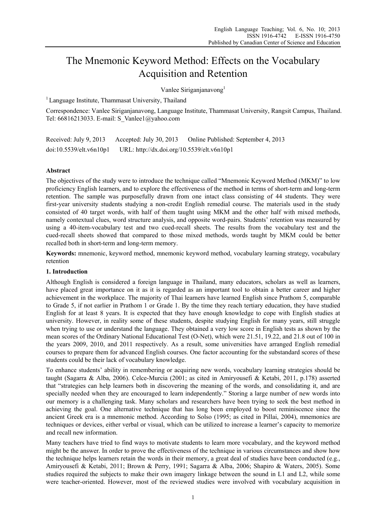# The Mnemonic Keyword Method: Effects on the Vocabulary Acquisition and Retention

Vanlee Siriganjanavong<sup>1</sup>

<sup>1</sup> Language Institute, Thammasat University, Thailand

Correspondence: Vanlee Siriganjanavong, Language Institute, Thammasat University, Rangsit Campus, Thailand. Tel: 66816213033. E-mail: S\_Vanlee1@yahoo.com

Received: July 9, 2013 Accepted: July 30, 2013 Online Published: September 4, 2013 doi:10.5539/elt.v6n10p1 URL: http://dx.doi.org/10.5539/elt.v6n10p1

# **Abstract**

The objectives of the study were to introduce the technique called "Mnemonic Keyword Method (MKM)" to low proficiency English learners, and to explore the effectiveness of the method in terms of short-term and long-term retention. The sample was purposefully drawn from one intact class consisting of 44 students. They were first-year university students studying a non-credit English remedial course. The materials used in the study consisted of 40 target words, with half of them taught using MKM and the other half with mixed methods, namely contextual clues, word structure analysis, and opposite word-pairs. Students' retention was measured by using a 40-item-vocabulary test and two cued-recall sheets. The results from the vocabulary test and the cued-recall sheets showed that compared to those mixed methods, words taught by MKM could be better recalled both in short-term and long-term memory.

**Keywords:** mnemonic, keyword method, mnemonic keyword method, vocabulary learning strategy, vocabulary retention

## **1. Introduction**

Although English is considered a foreign language in Thailand, many educators, scholars as well as learners, have placed great importance on it as it is regarded as an important tool to obtain a better career and higher achievement in the workplace. The majority of Thai learners have learned English since Prathom 5, comparable to Grade 5, if not earlier in Prathom 1 or Grade 1. By the time they reach tertiary education, they have studied English for at least 8 years. It is expected that they have enough knowledge to cope with English studies at university. However, in reality some of these students, despite studying English for many years, still struggle when trying to use or understand the language. They obtained a very low score in English tests as shown by the mean scores of the Ordinary National Educational Test (O-Net), which were 21.51, 19.22, and 21.8 out of 100 in the years 2009, 2010, and 2011 respectively. As a result, some universities have arranged English remedial courses to prepare them for advanced English courses. One factor accounting for the substandard scores of these students could be their lack of vocabulary knowledge.

To enhance students' ability in remembering or acquiring new words, vocabulary learning strategies should be taught (Sagarra & Alba, 2006). Celce-Murcia (2001; as cited in Amiryousefi & Ketabi, 2011, p.178) asserted that "strategies can help learners both in discovering the meaning of the words, and consolidating it, and are specially needed when they are encouraged to learn independently." Storing a large number of new words into our memory is a challenging task. Many scholars and researchers have been trying to seek the best method in achieving the goal. One alternative technique that has long been employed to boost reminiscence since the ancient Greek era is a mnemonic method. According to Solso (1995; as cited in Pillai, 2004), mnemonics are techniques or devices, either verbal or visual, which can be utilized to increase a learner's capacity to memorize and recall new information.

Many teachers have tried to find ways to motivate students to learn more vocabulary, and the keyword method might be the answer. In order to prove the effectiveness of the technique in various circumstances and show how the technique helps learners retain the words in their memory, a great deal of studies have been conducted (e.g., Amiryousefi & Ketabi, 2011; Brown & Perry, 1991; Sagarra & Alba, 2006; Shapiro & Waters, 2005). Some studies required the subjects to make their own imagery linkage between the sound in L1 and L2, while some were teacher-oriented. However, most of the reviewed studies were involved with vocabulary acquisition in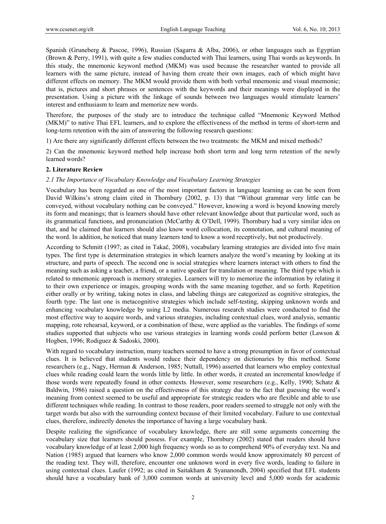Spanish (Gruneberg & Pascoe, 1996), Russian (Sagarra & Alba, 2006), or other languages such as Egyptian (Brown & Perry, 1991), with quite a few studies conducted with Thai learners, using Thai words as keywords. In this study, the mnemonic keyword method (MKM) was used because the researcher wanted to provide all learners with the same picture, instead of having them create their own images, each of which might have different effects on memory. The MKM would provide them with both verbal mnemonic and visual mnemonic; that is, pictures and short phrases or sentences with the keywords and their meanings were displayed in the presentation. Using a picture with the linkage of sounds between two languages would stimulate learners' interest and enthusiasm to learn and memorize new words.

Therefore, the purposes of the study are to introduce the technique called "Mnemonic Keyword Method (MKM)" to native Thai EFL learners, and to explore the effectiveness of the method in terms of short-term and long-term retention with the aim of answering the following research questions:

1) Are there any significantly different effects between the two treatments: the MKM and mixed methods?

2) Can the mnemonic keyword method help increase both short term and long term retention of the newly learned words?

## **2. Literature Review**

#### *2.1 The Importance of Vocabulary Knowledge and Vocabulary Learning Strategies*

Vocabulary has been regarded as one of the most important factors in language learning as can be seen from David Wilkins's strong claim cited in Thornbury (2002, p. 13) that "Without grammar very little can be conveyed, without vocabulary nothing can be conveyed." However, knowing a word is beyond knowing merely its form and meanings; that is learners should have other relevant knowledge about that particular word, such as its grammatical functions, and pronunciation (McCarthy & O'Dell, 1999). Thornbury had a very similar idea on that, and he claimed that learners should also know word collocation, its connotation, and cultural meaning of the word. In addition, he noticed that many learners tend to know a word receptively, but not productively.

According to Schmitt (1997; as cited in Takač, 2008), vocabulary learning strategies are divided into five main types. The first type is determination strategies in which learners analyze the word's meaning by looking at its structure, and parts of speech. The second one is social strategies where learners interact with others to find the meaning such as asking a teacher, a friend, or a native speaker for translation or meaning. The third type which is related to mnemonic approach is memory strategies. Learners will try to memorize the information by relating it to their own experience or images, grouping words with the same meaning together, and so forth. Repetition either orally or by writing, taking notes in class, and labeling things are categorized as cognitive strategies, the fourth type. The last one is metacognitive strategies which include self-testing, skipping unknown words and enhancing vocabulary knowledge by using L2 media. Numerous research studies were conducted to find the most effective way to acquire words, and various strategies, including contextual clues, word analysis, semantic mapping, rote rehearsal, keyword, or a combination of these, were applied as the variables. The findings of some studies supported that subjects who use various strategies in learning words could perform better (Lawson & Hogben, 1996; Rodiguez & Sadoski, 2000).

With regard to vocabulary instruction, many teachers seemed to have a strong presumption in favor of contextual clues. It is believed that students would reduce their dependency on dictionaries by this method. Some researchers (e.g., Nagy, Herman & Anderson, 1985; Nuttall, 1996) asserted that learners who employ contextual clues while reading could learn the words little by little. In other words, it created an incremental knowledge if those words were repeatedly found in other contexts. However, some researchers (e.g., Kelly, 1990; Schatz & Baldwin, 1986) raised a question on the effectiveness of this strategy due to the fact that guessing the word's meaning from context seemed to be useful and appropriate for strategic readers who are flexible and able to use different techniques while reading. In contrast to those readers, poor readers seemed to struggle not only with the target words but also with the surrounding context because of their limited vocabulary. Failure to use contextual clues, therefore, indirectly denotes the importance of having a large vocabulary bank.

Despite realizing the significance of vocabulary knowledge, there are still some arguments concerning the vocabulary size that learners should possess. For example, Thornbury (2002) stated that readers should have vocabulary knowledge of at least 2,000 high frequency words so as to comprehend 90% of everyday text. Na and Nation (1985) argued that learners who know 2,000 common words would know approximately 80 percent of the reading text. They will, therefore, encounter one unknown word in every five words, leading to failure in using contextual clues. Laufer (1992; as cited in Saitakham & Syananondh, 2004) specified that EFL students should have a vocabulary bank of 3,000 common words at university level and 5,000 words for academic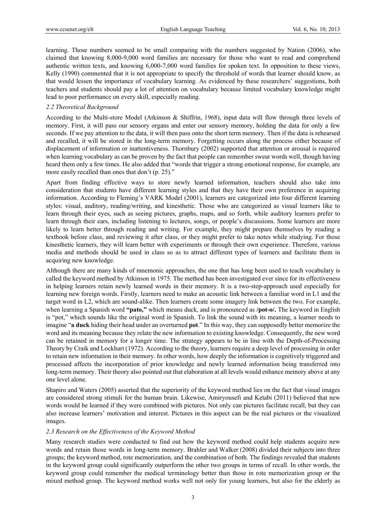learning. Those numbers seemed to be small comparing with the numbers suggested by Nation (2006), who claimed that knowing 8,000-9,000 word families are necessary for those who want to read and comprehend authentic written texts, and knowing 6,000-7,000 word families for spoken text. In opposition to these views, Kelly (1990) commented that it is not appropriate to specify the threshold of words that learner should know, as that would lessen the importance of vocabulary learning. As evidenced by these researchers' suggestions, both teachers and students should pay a lot of attention on vocabulary because limited vocabulary knowledge might lead to poor performance on every skill, especially reading.

#### *2.2 Theoretical Background*

According to the Multi-store Model (Atkinson & Shiffrin, 1968), input data will flow through three levels of memory. First, it will pass our sensory organs and enter our sensory memory, holding the data for only a few seconds. If we pay attention to the data, it will then pass onto the short term memory. Then if the data is rehearsed and recalled, it will be stored in the long-term memory. Forgetting occurs along the process either because of displacement of information or inattentiveness. Thornbury (2002) supported that attention or arousal is required when learning vocabulary as can be proven by the fact that people can remember swear words well, though having heard them only a few times. He also added that "words that trigger a strong emotional response, for example, are more easily recalled than ones that don't (p. 25)."

Apart from finding effective ways to store newly learned information, teachers should also take into consideration that students have different learning styles and that they have their own preference in acquiring information. According to Fleming's VARK Model (2001), learners are categorized into four different learning styles: visual, auditory, reading/writing, and kinesthetic. Those who are categorized as visual learners like to learn through their eyes, such as seeing pictures, graphs, maps, and so forth, while auditory learners prefer to learn through their ears, including listening to lectures, songs, or people's discussions. Some learners are more likely to learn better through reading and writing. For example, they might prepare themselves by reading a textbook before class, and reviewing it after class, or they might prefer to take notes while studying. For those kinesthetic learners, they will learn better with experiments or through their own experience. Therefore, various media and methods should be used in class so as to attract different types of learners and facilitate them in acquiring new knowledge.

Although there are many kinds of mnemonic approaches, the one that has long been used to teach vocabulary is called the keyword method by Atkinson in 1975. The method has been investigated ever since for its effectiveness in helping learners retain newly learned words in their memory. It is a two-step-approach used especially for learning new foreign words. Firstly, learners need to make an acoustic link between a familiar word in L1 and the target word in L2, which are sound-alike. Then learners create some imagery link between the two. For example, when learning a Spanish word **"pato,"** which means duck, and is pronounced as **/pot-o/.** The keyword in English is "pot," which sounds like the original word in Spanish. To link the sound with its meaning, a learner needs to imagine "**a duck** hiding their head under an overturned **pot**." In this way, they can supposedly better memorize the word and its meaning because they relate the new information to existing knowledge. Consequently, the new word can be retained in memory for a longer time. The strategy appears to be in line with the Depth-of-Processing Theory by Craik and Lockhart (1972). According to the theory, learners require a deep level of processing in order to retain new information in their memory. In other words, how deeply the information is cognitively triggered and processed affects the incorporation of prior knowledge and newly learned information being transferred into long-term memory. Their theory also pointed out that elaboration at all levels would enhance memory above at any one level alone.

Shapiro and Waters (2005) asserted that the superiority of the keyword method lies on the fact that visual images are considered strong stimuli for the human brain. Likewise, Amiryousefi and Ketabi (2011) believed that new words would be learned if they were combined with pictures. Not only can pictures facilitate recall, but they can also increase learners' motivation and interest. Pictures in this aspect can be the real pictures or the visualized images.

## *2.3 Research on the Effectiveness of the Keyword Method*

Many research studies were conducted to find out how the keyword method could help students acquire new words and retain those words in long-term memory. Brahler and Walker (2008) divided their subjects into three groups; the keyword method, rote memorization, and the combination of both. The findings revealed that students in the keyword group could significantly outperform the other two groups in terms of recall. In other words, the keyword group could remember the medical terminology better than those in rote memorization group or the mixed method group. The keyword method works well not only for young learners, but also for the elderly as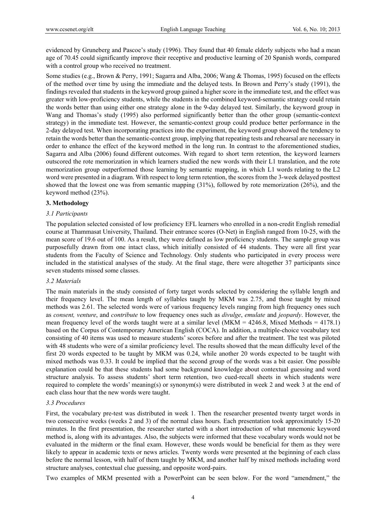evidenced by Gruneberg and Pascoe's study (1996). They found that 40 female elderly subjects who had a mean age of 70.45 could significantly improve their receptive and productive learning of 20 Spanish words, compared with a control group who received no treatment.

Some studies (e.g., Brown & Perry, 1991; Sagarra and Alba, 2006; Wang & Thomas, 1995) focused on the effects of the method over time by using the immediate and the delayed tests. In Brown and Perry's study (1991), the findings revealed that students in the keyword group gained a higher score in the immediate test, and the effect was greater with low-proficiency students, while the students in the combined keyword-semantic strategy could retain the words better than using either one strategy alone in the 9-day delayed test. Similarly, the keyword group in Wang and Thomas's study (1995) also performed significantly better than the other group (semantic-context strategy) in the immediate test. However, the semantic-context group could produce better performance in the 2-day delayed test. When incorporating practices into the experiment, the keyword group showed the tendency to retain the words better than the semantic-context group, implying that repeating tests and rehearsal are necessary in order to enhance the effect of the keyword method in the long run. In contrast to the aforementioned studies, Sagarra and Alba (2006) found different outcomes. With regard to short term retention, the keyword learners outscored the rote memorization in which learners studied the new words with their L1 translation, and the rote memorization group outperformed those learning by semantic mapping, in which L1 words relating to the L2 word were presented in a diagram. With respect to long term retention, the scores from the 3-week delayed posttest showed that the lowest one was from semantic mapping (31%), followed by rote memorization (26%), and the keyword method (23%).

#### **3. Methodology**

## *3.1 Participants*

The population selected consisted of low proficiency EFL learners who enrolled in a non-credit English remedial course at Thammasat University, Thailand. Their entrance scores (O-Net) in English ranged from 10-25, with the mean score of 19.6 out of 100. As a result, they were defined as low proficiency students. The sample group was purposefully drawn from one intact class, which initially consisted of 44 students. They were all first year students from the Faculty of Science and Technology. Only students who participated in every process were included in the statistical analyses of the study. At the final stage, there were altogether 37 participants since seven students missed some classes.

#### *3.2 Materials*

The main materials in the study consisted of forty target words selected by considering the syllable length and their frequency level. The mean length of syllables taught by MKM was 2.75, and those taught by mixed methods was 2.61. The selected words were of various frequency levels ranging from high frequency ones such as *consent, venture*, and *contribute* to low frequency ones such as *divulge*, *emulate* and *jeopardy*. However, the mean frequency level of the words taught were at a similar level ( $MKM = 4246.8$ , Mixed Methods = 4178.1) based on the Corpus of Contemporary American English (COCA). In addition, a multiple-choice vocabulary test consisting of 40 items was used to measure students' scores before and after the treatment. The test was piloted with 48 students who were of a similar proficiency level. The results showed that the mean difficulty level of the first 20 words expected to be taught by MKM was 0.24, while another 20 words expected to be taught with mixed methods was 0.33. It could be implied that the second group of the words was a bit easier. One possible explanation could be that these students had some background knowledge about contextual guessing and word structure analysis. To assess students' short term retention, two cued-recall sheets in which students were required to complete the words' meaning(s) or synonym(s) were distributed in week 2 and week 3 at the end of each class hour that the new words were taught.

## *3.3 Procedures*

First, the vocabulary pre-test was distributed in week 1. Then the researcher presented twenty target words in two consecutive weeks (weeks 2 and 3) of the normal class hours. Each presentation took approximately 15-20 minutes. In the first presentation, the researcher started with a short introduction of what mnemonic keyword method is, along with its advantages. Also, the subjects were informed that these vocabulary words would not be evaluated in the midterm or the final exam. However, these words would be beneficial for them as they were likely to appear in academic texts or news articles. Twenty words were presented at the beginning of each class before the normal lesson, with half of them taught by MKM, and another half by mixed methods including word structure analyses, contextual clue guessing, and opposite word-pairs.

Two examples of MKM presented with a PowerPoint can be seen below. For the word "amendment," the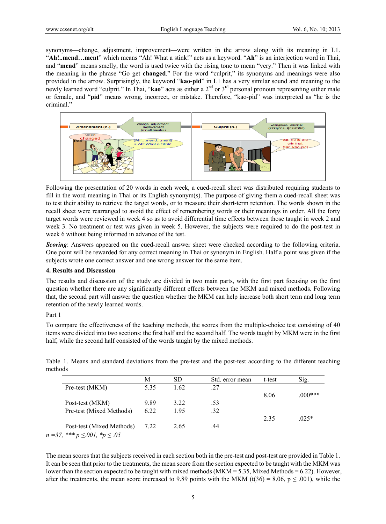synonyms—change, adjustment, improvement—were written in the arrow along with its meaning in L1. "**Ah!..mend…ment**" which means "Ah! What a stink!" acts as a keyword. "**Ah**" is an interjection word in Thai, and "**mend**" means smelly, the word is used twice with the rising tone to mean "very." Then it was linked with the meaning in the phrase "Go get **changed**." For the word "culprit," its synonyms and meanings were also provided in the arrow. Surprisingly, the keyword "**kao-pid**" in L1 has a very similar sound and meaning to the newly learned word "culprit." In Thai, "**kao**" acts as either a 2<sup>nd</sup> or 3<sup>rd</sup> personal pronoun representing either male or female, and "**pid**" means wrong, incorrect, or mistake. Therefore, "kao-pid" was interpreted as "he is the criminal."



Following the presentation of 20 words in each week, a cued-recall sheet was distributed requiring students to fill in the word meaning in Thai or its English synonym(s). The purpose of giving them a cued-recall sheet was to test their ability to retrieve the target words, or to measure their short-term retention. The words shown in the recall sheet were rearranged to avoid the effect of remembering words or their meanings in order. All the forty target words were reviewed in week 4 so as to avoid differential time effects between those taught in week 2 and week 3. No treatment or test was given in week 5. However, the subjects were required to do the post-test in week 6 without being informed in advance of the test.

*Scoring*: Answers appeared on the cued-recall answer sheet were checked according to the following criteria. One point will be rewarded for any correct meaning in Thai or synonym in English. Half a point was given if the subjects wrote one correct answer and one wrong answer for the same item.

## **4. Results and Discussion**

The results and discussion of the study are divided in two main parts, with the first part focusing on the first question whether there are any significantly different effects between the MKM and mixed methods. Following that, the second part will answer the question whether the MKM can help increase both short term and long term retention of the newly learned words.

## Part 1

To compare the effectiveness of the teaching methods, the scores from the multiple-choice test consisting of 40 items were divided into two sections: the first half and the second half. The words taught by MKM were in the first half, while the second half consisted of the words taught by the mixed methods.

Table 1. Means and standard deviations from the pre-test and the post-test according to the different teaching methods

| M    | SD   | Std. error mean | t-test | Sig.      |
|------|------|-----------------|--------|-----------|
| 5.35 | 1.62 | .27             |        |           |
|      |      |                 | 8.06   | $.000***$ |
| 9.89 | 3.22 | .53             |        |           |
| 6.22 | 1.95 | .32             |        |           |
|      |      |                 | 2.35   | $.025*$   |
| 7.22 | 2.65 | .44             |        |           |
|      |      |                 |        |           |

*n =37, \*\*\* p ≤.001, \*p ≤ .05* 

The mean scores that the subjects received in each section both in the pre-test and post-test are provided in Table 1. It can be seen that prior to the treatments, the mean score from the section expected to be taught with the MKM was lower than the section expected to be taught with mixed methods ( $MKM = 5.35$ , Mixed Methods = 6.22). However, after the treatments, the mean score increased to 9.89 points with the MKM (t(36) = 8.06,  $p \leq .001$ ), while the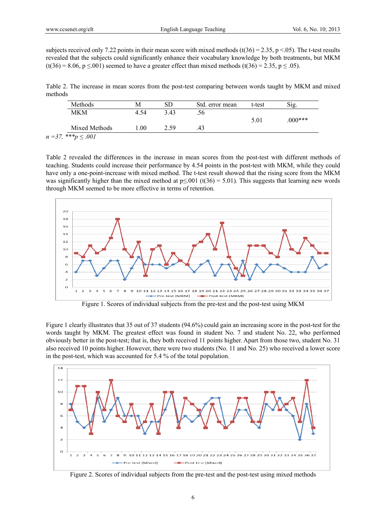subjects received only 7.22 points in their mean score with mixed methods  $(t(36) = 2.35, p \lt 0.05)$ . The t-test results revealed that the subjects could significantly enhance their vocabulary knowledge by both treatments, but MKM  $(t(36) = 8.06, p \le 0.001)$  seemed to have a greater effect than mixed methods  $(t(36) = 2.35, p \le 0.05)$ .

Table 2. The increase in mean scores from the post-test comparing between words taught by MKM and mixed methods

| Methods       | M    |      | Std. error mean | t-test | S1g.      |
|---------------|------|------|-----------------|--------|-----------|
| <b>MKM</b>    | 4.54 | 343  | .56             |        |           |
|               |      |      |                 | 5.01   | $0.00***$ |
| Mixed Methods | .00  | 2.59 | .43             |        |           |

Table 2 revealed the differences in the increase in mean scores from the post-test with different methods of teaching. Students could increase their performance by 4.54 points in the post-test with MKM, while they could have only a one-point-increase with mixed method. The t-test result showed that the rising score from the MKM was significantly higher than the mixed method at  $p \le 0.001$  (t(36) = 5.01). This suggests that learning new words through MKM seemed to be more effective in terms of retention.



Figure 1. Scores of individual subjects from the pre-test and the post-test using MKM

Figure 1 clearly illustrates that 35 out of 37 students (94.6%) could gain an increasing score in the post-test for the words taught by MKM. The greatest effect was found in student No. 7 and student No. 22, who performed obviously better in the post-test; that is, they both received 11 points higher. Apart from those two, student No. 31 also received 10 points higher. However, there were two students (No. 11 and No. 25) who received a lower score in the post-test, which was accounted for 5.4 % of the total population.



Figure 2. Scores of individual subjects from the pre-test and the post-test using mixed methods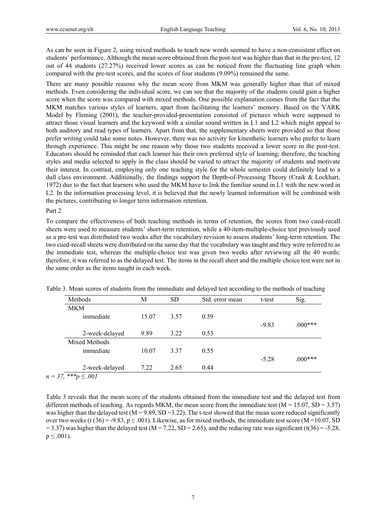As can be seen in Figure 2, using mixed methods to teach new words seemed to have a non-consistent effect on students' performance. Although the mean score obtained from the post-test was higher than that in the pre-test, 12 out of 44 students (27.27%) received lower scores as can be noticed from the fluctuating line graph when compared with the pre-test scores, and the scores of four students (9.09%) remained the same.

There are many possible reasons why the mean score from MKM was generally higher than that of mixed methods. Even considering the individual score, we can see that the majority of the students could gain a higher score when the score was compared with mixed methods. One possible explanation comes from the fact that the MKM matches various styles of learners, apart from facilitating the learners' memory. Based on the VARK Model by Fleming (2001), the teacher-provided-presentation consisted of pictures which were supposed to attract those visual learners and the keyword with a similar sound written in L1 and L2 which might appeal to both auditory and read types of learners. Apart from that, the supplementary sheets were provided so that those prefer writing could take some notes. However, there was no activity for kinesthetic learners who prefer to learn through experience. This might be one reason why those two students received a lower score in the post-test. Educators should be reminded that each learner has their own preferred style of learning; therefore, the teaching styles and media selected to apply in the class should be varied to attract the majority of students and motivate their interest. In contrast, employing only one teaching style for the whole semester could definitely lead to a dull class environment. Additionally, the findings support the Depth-of-Processing Theory (Craik & Lockhart, 1972) due to the fact that learners who used the MKM have to link the familiar sound in L1 with the new word in L2. In the information processing level, it is believed that the newly learned information will be combined with the pictures, contributing to longer term information retention.

#### Part 2

To compare the effectiveness of both teaching methods in terms of retention, the scores from two cued-recall sheets were used to measure students' short-term retention, while a 40-item-multiple-choice test previously used as a pre-test was distributed two weeks after the vocabulary revision to assess students' long-term retention. The two cued-recall sheets were distributed on the same day that the vocabulary was taught and they were referred to as the immediate test, whereas the multiple-choice test was given two weeks after reviewing all the 40 words; therefore, it was referred to as the delayed test. The items in the recall sheet and the multiple choice test were not in the same order as the items taught in each week.

| Methods                    | М     | <b>SD</b> | Std. error mean | t-test  | Sig.      |
|----------------------------|-------|-----------|-----------------|---------|-----------|
| <b>MKM</b>                 |       |           |                 |         |           |
| immediate                  | 15.07 | 3.57      | 0.59            |         |           |
|                            |       |           |                 | $-9.83$ | $.000***$ |
| 2-week-delayed             | 9.89  | 3.22      | 0.53            |         |           |
| Mixed Methods              |       |           |                 |         |           |
| immediate                  | 10.07 | 3.37      | 0.55            |         |           |
|                            |       |           |                 | $-5.28$ | $.000***$ |
| 2-week-delayed             | 7.22  | 2.65      | 0.44            |         |           |
| $n = 37,$ *** $p \le .001$ |       |           |                 |         |           |

Table 3. Mean scores of students from the immediate and delayed test according to the methods of teaching

Table 3 reveals that the mean score of the students obtained from the immediate test and the delayed test from different methods of teaching. As regards MKM, the mean score from the immediate test ( $M = 15.07$ ,  $SD = 3.57$ ) was higher than the delayed test ( $M = 9.89$ , SD = 3.22). The t-test showed that the mean score reduced significantly over two weeks (t (36) = -9.83,  $p \le 0.001$ ). Likewise, as for mixed methods, the immediate test score (M =10.07, SD  $= 3.37$ ) was higher than the delayed test (M = 7.22, SD = 2.65), and the reducing rate was significant (t(36) = -5.28,  $p \leq .001$ ).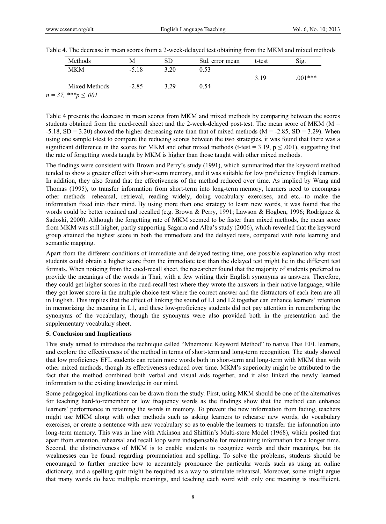|  | Table 4. The decrease in mean scores from a 2-week-delayed test obtaining from the MKM and mixed methods |  |  |  |
|--|----------------------------------------------------------------------------------------------------------|--|--|--|
|  |                                                                                                          |  |  |  |

| Methods                    | M       | SD   | Std. error mean | t-test | Sig.      |
|----------------------------|---------|------|-----------------|--------|-----------|
| <b>MKM</b>                 | $-5.18$ | 3.20 | 0.53            |        |           |
|                            |         |      |                 | 3.19   | $.001***$ |
| Mixed Methods              | $-2.85$ | 3.29 | 0.54            |        |           |
| $n = 37,$ *** $p \le .001$ |         |      |                 |        |           |

Table 4 presents the decrease in mean scores from MKM and mixed methods by comparing between the scores students obtained from the cued-recall sheet and the 2-week-delayed post-test. The mean score of MKM ( $M =$  $-5.18$ ,  $SD = 3.20$ ) showed the higher decreasing rate than that of mixed methods (M =  $-2.85$ ,  $SD = 3.29$ ). When using one sample t-test to compare the reducing scores between the two strategies, it was found that there was a significant difference in the scores for MKM and other mixed methods (t-test = 3.19,  $p \le 0.001$ ), suggesting that the rate of forgetting words taught by MKM is higher than those taught with other mixed methods.

The findings were consistent with Brown and Perry's study (1991), which summarized that the keyword method tended to show a greater effect with short-term memory, and it was suitable for low proficiency English learners. In addition, they also found that the effectiveness of the method reduced over time. As implied by Wang and Thomas (1995), to transfer information from short-term into long-term memory, learners need to encompass other methods—rehearsal, retrieval, reading widely, doing vocabulary exercises, and etc.--to make the information fixed into their mind. By using more than one strategy to learn new words, it was found that the words could be better retained and recalled (e.g. Brown & Perry, 1991; Lawson & Hogben, 1996; Rodriguez & Sadoski, 2000). Although the forgetting rate of MKM seemed to be faster than mixed methods, the mean score from MKM was still higher, partly supporting Sagarra and Alba's study (2006), which revealed that the keyword group attained the highest score in both the immediate and the delayed tests, compared with rote learning and semantic mapping.

Apart from the different conditions of immediate and delayed testing time, one possible explanation why most students could obtain a higher score from the immediate test than the delayed test might lie in the different test formats. When noticing from the cued-recall sheet, the researcher found that the majority of students preferred to provide the meanings of the words in Thai, with a few writing their English synonyms as answers. Therefore, they could get higher scores in the cued-recall test where they wrote the answers in their native language, while they got lower score in the multiple choice test where the correct answer and the distractors of each item are all in English. This implies that the effect of linking the sound of L1 and L2 together can enhance learners' retention in memorizing the meaning in L1, and these low-proficiency students did not pay attention in remembering the synonyms of the vocabulary, though the synonyms were also provided both in the presentation and the supplementary vocabulary sheet.

#### **5. Conclusion and Implications**

This study aimed to introduce the technique called "Mnemonic Keyword Method" to native Thai EFL learners, and explore the effectiveness of the method in terms of short-term and long-term recognition. The study showed that low proficiency EFL students can retain more words both in short-term and long-term with MKM than with other mixed methods, though its effectiveness reduced over time. MKM's superiority might be attributed to the fact that the method combined both verbal and visual aids together, and it also linked the newly learned information to the existing knowledge in our mind.

Some pedagogical implications can be drawn from the study. First, using MKM should be one of the alternatives for teaching hard-to-remember or low frequency words as the findings show that the method can enhance learners' performance in retaining the words in memory. To prevent the new information from fading, teachers might use MKM along with other methods such as asking learners to rehearse new words, do vocabulary exercises, or create a sentence with new vocabulary so as to enable the learners to transfer the information into long-term memory. This was in line with Atkinson and Shiffrin's Multi-store Model (1968), which posited that apart from attention, rehearsal and recall loop were indispensable for maintaining information for a longer time. Second, the distinctiveness of MKM is to enable students to recognize words and their meanings, but its weaknesses can be found regarding pronunciation and spelling. To solve the problems, students should be encouraged to further practice how to accurately pronounce the particular words such as using an online dictionary, and a spelling quiz might be required as a way to stimulate rehearsal. Moreover, some might argue that many words do have multiple meanings, and teaching each word with only one meaning is insufficient.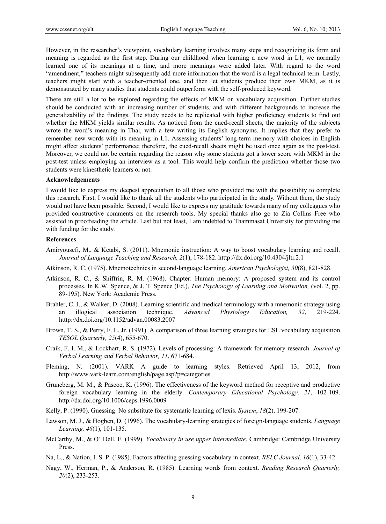However, in the researcher's viewpoint, vocabulary learning involves many steps and recognizing its form and meaning is regarded as the first step. During our childhood when learning a new word in L1, we normally learned one of its meanings at a time, and more meanings were added later. With regard to the word "amendment," teachers might subsequently add more information that the word is a legal technical term. Lastly, teachers might start with a teacher-oriented one, and then let students produce their own MKM, as it is demonstrated by many studies that students could outperform with the self-produced keyword.

There are still a lot to be explored regarding the effects of MKM on vocabulary acquisition. Further studies should be conducted with an increasing number of students, and with different backgrounds to increase the generalizability of the findings. The study needs to be replicated with higher proficiency students to find out whether the MKM yields similar results. As noticed from the cued-recall sheets, the majority of the subjects wrote the word's meaning in Thai, with a few writing its English synonyms. It implies that they prefer to remember new words with its meaning in L1. Assessing students' long-term memory with choices in English might affect students' performance; therefore, the cued-recall sheets might be used once again as the post-test. Moreover, we could not be certain regarding the reason why some students got a lower score with MKM in the post-test unless employing an interview as a tool. This would help confirm the prediction whether those two students were kinesthetic learners or not.

#### **Acknowledgements**

I would like to express my deepest appreciation to all those who provided me with the possibility to complete this research. First, I would like to thank all the students who participated in the study. Without them, the study would not have been possible. Second, I would like to express my gratitude towards many of my colleagues who provided constructive comments on the research tools. My special thanks also go to Zia Collins Free who assisted in proofreading the article. Last but not least, I am indebted to Thammasat University for providing me with funding for the study.

# **References**

- Amiryousefi, M., & Ketabi, S. (2011). Mnemonic instruction: A way to boost vocabulary learning and recall. *Journal of Language Teaching and Research, 2*(1), 178-182. htttp://dx.doi.org/10.4304/jltr.2.1
- Atkinson, R. C. (1975). Mnemotechnics in second-language learning. *American Psychologist, 30*(8), 821-828.
- Atkinson, R. C., & Shiffrin, R. M. (1968). Chapter: Human memory: A proposed system and its control processes. In K.W. Spence, & J. T. Spence (Ed.), *The Psychology of Learning and Motivation,* (vol. 2, pp. 89-195). New York: Academic Press.
- Brahler, C. J., & Walker, D. (2008). Learning scientific and medical terminology with a mnemonic strategy using an illogical association technique. *Advanced Physiology Education, 32*, 219-224. htttp://dx.doi.org/10.1152/advan.00083.2007
- Brown, T. S., & Perry, F. L. Jr. (1991). A comparison of three learning strategies for ESL vocabulary acquisition. *TESOL Quarterly, 25*(4), 655-670.
- Craik, F. I. M., & Lockhart, R. S. (1972). Levels of processing: A framework for memory research. *Journal of Verbal Learning and Verbal Behavior, 11*, 671-684.
- Fleming, N. (2001). VARK A guide to learning styles. Retrieved April 13, 2012, from http://www.vark-learn.com/english/page.asp?p=categories
- Gruneberg, M. M., & Pascoe, K. (1996). The effectiveness of the keyword method for receptive and productive foreign vocabulary learning in the elderly. *Contemporary Educational Psychology, 21*, 102-109. http://dx.doi.org/10.1006/ceps.1996.0009
- Kelly, P. (1990). Guessing: No substitute for systematic learning of lexis. *System*, *18*(2), 199-207.
- Lawson, M. J., & Hogben, D. (1996). The vocabulary-learning strategies of foreign-language students. *Language Learning, 46*(1), 101-135.
- McCarthy, M., & O' Dell, F. (1999). *Vocabulary in use upper intermediate*. Cambridge: Cambridge University Press.
- Na, L., & Nation, I. S. P. (1985). Factors affecting guessing vocabulary in context. *RELC Journal, 16*(1), 33-42.
- Nagy, W., Herman, P., & Anderson, R. (1985). Learning words from context. *Reading Research Quarterly, 20*(2), 233-253.